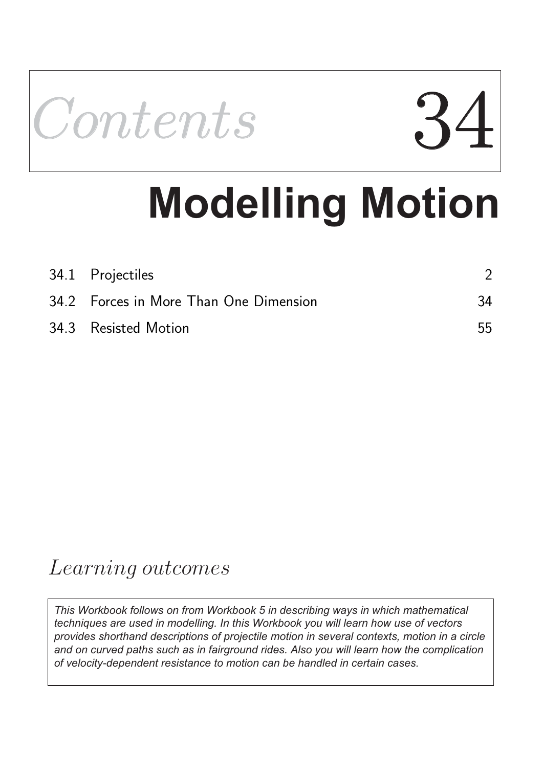

# **Modelling Motion**

| 34.1 Projectiles                       |    |
|----------------------------------------|----|
| 34.2 Forces in More Than One Dimension | 34 |
| 34.3 Resisted Motion                   | 55 |

## Learning outcomes

*This Workbook follows on from Workbook 5 in describing ways in which mathematical techniques are used in modelling. In this Workbook you will learn how use of vectors provides shorthand descriptions of projectile motion in several contexts, motion in a circle and on curved paths such as in fairground rides. Also you will learn how the complication of velocity-dependent resistance to motion can be handled in certain cases.*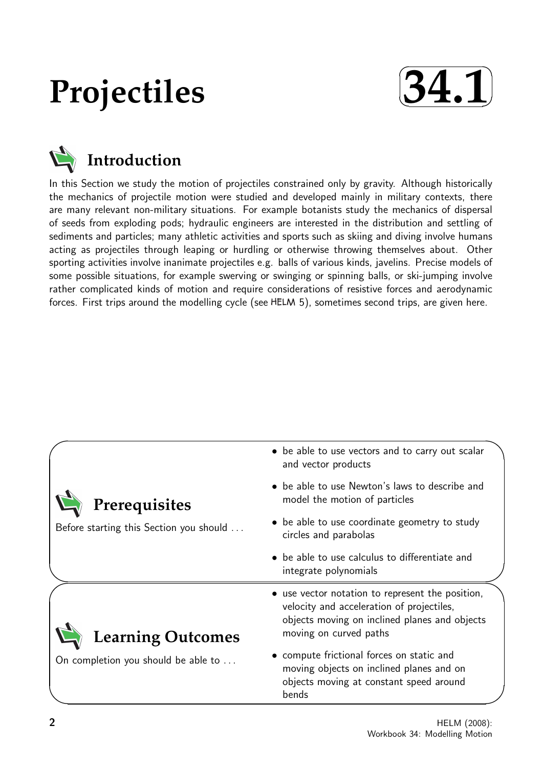## **Projectiles**





In this Section we study the motion of projectiles constrained only by gravity. Although historically the mechanics of projectile motion were studied and developed mainly in military contexts, there are many relevant non-military situations. For example botanists study the mechanics of dispersal of seeds from exploding pods; hydraulic engineers are interested in the distribution and settling of sediments and particles; many athletic activities and sports such as skiing and diving involve humans acting as projectiles through leaping or hurdling or otherwise throwing themselves about. Other sporting activities involve inanimate projectiles e.g. balls of various kinds, javelins. Precise models of some possible situations, for example swerving or swinging or spinning balls, or ski-jumping involve rather complicated kinds of motion and require considerations of resistive forces and aerodynamic forces. First trips around the modelling cycle (see  $HELM$  5), sometimes second trips, are given here.

|                                         | • be able to use vectors and to carry out scalar<br>and vector products                                                                                                  |
|-----------------------------------------|--------------------------------------------------------------------------------------------------------------------------------------------------------------------------|
| Prerequisites                           | • be able to use Newton's laws to describe and<br>model the motion of particles                                                                                          |
| Before starting this Section you should | • be able to use coordinate geometry to study<br>circles and parabolas                                                                                                   |
|                                         | • be able to use calculus to differentiate and<br>integrate polynomials                                                                                                  |
| <b>Learning Outcomes</b>                | • use vector notation to represent the position,<br>velocity and acceleration of projectiles,<br>objects moving on inclined planes and objects<br>moving on curved paths |
| On completion you should be able to     | • compute frictional forces on static and<br>moving objects on inclined planes and on<br>objects moving at constant speed around<br>bends                                |
|                                         | HELM (2008):                                                                                                                                                             |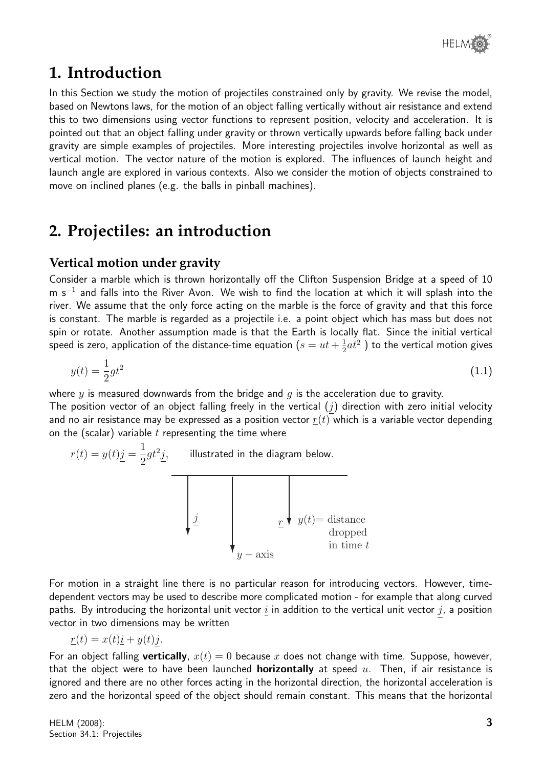## **1. Introduction**

In this Section we study the motion of projectiles constrained only by gravity. We revise the model, based on Newtons laws, for the motion of an object falling vertically without air resistance and extend this to two dimensions using vector functions to represent position, velocity and acceleration. It is pointed out that an object falling under gravity or thrown vertically upwards before falling back under gravity are simple examples of projectiles. More interesting projectiles involve horizontal as well as vertical motion. The vector nature of the motion is explored. The influences of launch height and launch angle are explored in various contexts. Also we consider the motion of objects constrained to move on inclined planes (e.g. the balls in pinball machines).

## **2. Projectiles: an introduction**

#### **Vertical motion under gravity**

Consider a marble which is thrown horizontally off the Clifton Suspension Bridge at a speed of 10 m s<sup>-1</sup> and falls into the River Avon. We wish to find the location at which it will splash into the river. We assume that the only force acting on the marble is the force of gravity and that this force is constant. The marble is regarded as a projectile i.e. a point object which has mass but does not spin or rotate. Another assumption made is that the Earth is locally flat. Since the initial vertical speed is zero, application of the distance-time equation  $(s=ut+\frac{1}{2})$  $\frac{1}{2} a t^2$  ) to the vertical motion gives

$$
y(t) = \frac{1}{2}gt^2
$$
\n(1.1)

where  $y$  is measured downwards from the bridge and  $q$  is the acceleration due to gravity.

The position vector of an object falling freely in the vertical  $(j)$  direction with zero initial velocity and no air resistance may be expressed as a position vector  $r(t)$  which is a variable vector depending on the (scalar) variable  $t$  representing the time where

 $\underline{r}(t) = y(t)j =$ 1 2  $gt^2j,$  illustrated in the diagram below.



For motion in a straight line there is no particular reason for introducing vectors. However, timedependent vectors may be used to describe more complicated motion - for example that along curved paths. By introducing the horizontal unit vector  $\underline{i}$  in addition to the vertical unit vector  $j$ , a position vector in two dimensions may be written

$$
\underline{r}(t) = x(t)\underline{i} + y(t)j.
$$

For an object falling **vertically**,  $x(t) = 0$  because x does not change with time. Suppose, however, that the object were to have been launched **horizontally** at speed  $u$ . Then, if air resistance is ignored and there are no other forces acting in the horizontal direction, the horizontal acceleration is zero and the horizontal speed of the object should remain constant. This means that the horizontal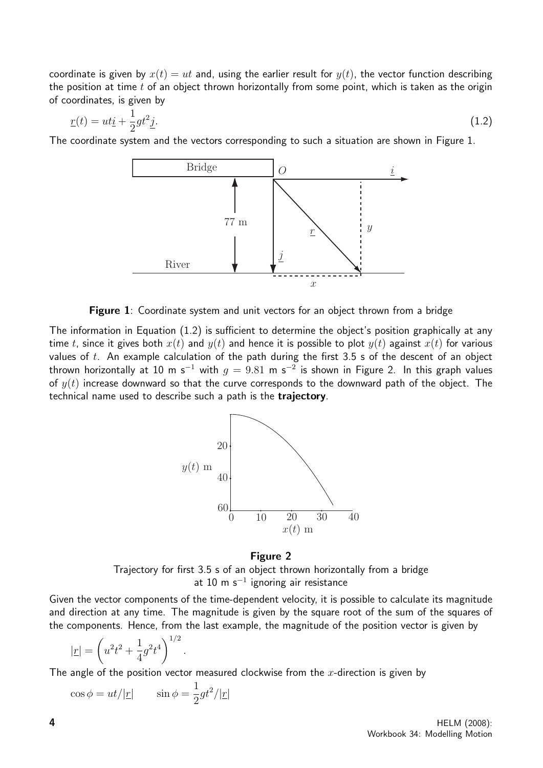coordinate is given by  $x(t) = ut$  and, using the earlier result for  $y(t)$ , the vector function describing the position at time  $t$  of an object thrown horizontally from some point, which is taken as the origin of coordinates, is given by

$$
\underline{r}(t) = ut\underline{i} + \frac{1}{2}gt^2\underline{j}.\tag{1.2}
$$

The coordinate system and the vectors corresponding to such a situation are shown in Figure 1.



Figure 1: Coordinate system and unit vectors for an object thrown from a bridge

The information in Equation (1.2) is sufficient to determine the object's position graphically at any time t, since it gives both  $x(t)$  and  $y(t)$  and hence it is possible to plot  $y(t)$  against  $x(t)$  for various values of  $t$ . An example calculation of the path during the first 3.5 s of the descent of an object thrown horizontally at 10 m s $^{-1}$  with  $g=9.81$  m s $^{-2}$  is shown in Figure 2. In this graph values of  $y(t)$  increase downward so that the curve corresponds to the downward path of the object. The technical name used to describe such a path is the trajectory.



Figure 2 Trajectory for first 3.5 s of an object thrown horizontally from a bridge at 10 m s<sup>−</sup><sup>1</sup> ignoring air resistance

Given the vector components of the time-dependent velocity, it is possible to calculate its magnitude and direction at any time. The magnitude is given by the square root of the sum of the squares of the components. Hence, from the last example, the magnitude of the position vector is given by

$$
|\underline{r}| = \left(u^2 t^2 + \frac{1}{4} g^2 t^4\right)^{1/2}
$$

The angle of the position vector measured clockwise from the  $x$ -direction is given by

$$
\cos \phi = ut/|\underline{r}| \qquad \sin \phi = \frac{1}{2}gt^2/|\underline{r}|
$$

.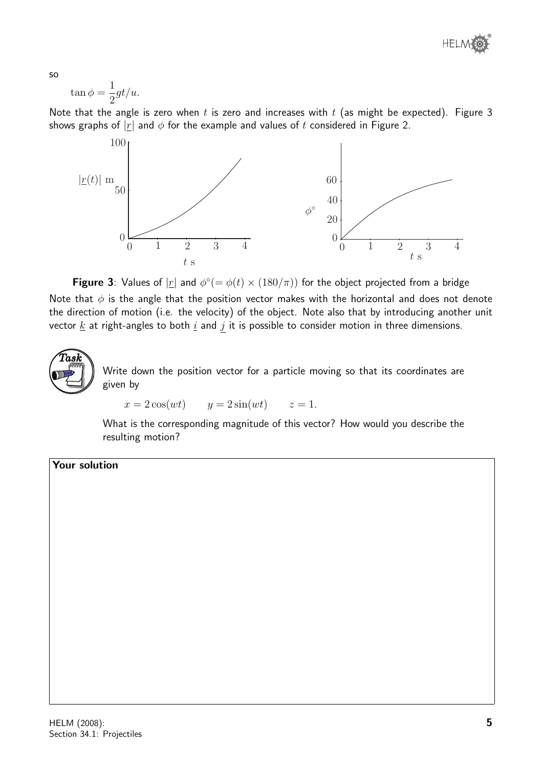

so

$$
\tan \phi = \frac{1}{2}gt/u.
$$

Note that the angle is zero when t is zero and increases with  $t$  (as might be expected). Figure 3 shows graphs of  $|r|$  and  $\phi$  for the example and values of t considered in Figure 2.



Figure 3: Values of  $|\underline{r}|$  and  $\phi^{\circ}(=\phi(t) \times (180/\pi))$  for the object projected from a bridge Note that  $\phi$  is the angle that the position vector makes with the horizontal and does not denote the direction of motion (i.e. the velocity) of the object. Note also that by introducing another unit vector  $\underline{k}$  at right-angles to both  $\underline{i}$  and  $j$  it is possible to consider motion in three dimensions.



Write down the position vector for a particle moving so that its coordinates are given by

 $x = 2\cos(wt)$   $y = 2\sin(wt)$   $z = 1$ .

What is the corresponding magnitude of this vector? How would you describe the resulting motion?

Your solution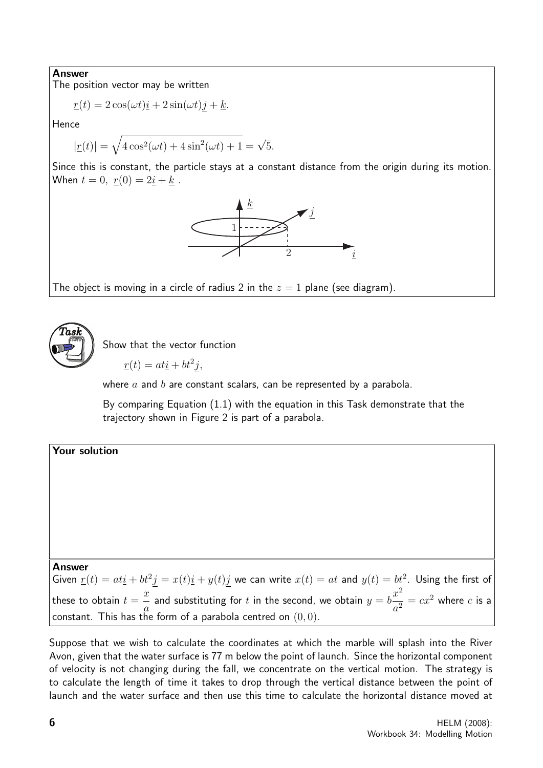#### Answer

The position vector may be written

$$
\underline{r}(t) = 2\cos(\omega t)\underline{i} + 2\sin(\omega t)\underline{j} + \underline{k}.
$$

**Hence** 

$$
|\underline{r}(t)| = \sqrt{4\cos^2(\omega t) + 4\sin^2(\omega t) + 1} = \sqrt{5}.
$$

Since this is constant, the particle stays at a constant distance from the origin during its motion. When  $t = 0$ ,  $r(0) = 2i + k$ .



The object is moving in a circle of radius 2 in the  $z = 1$  plane (see diagram).



Show that the vector function

$$
\underline{r}(t) = at\underline{i} + bt^2j,
$$

where  $a$  and  $b$  are constant scalars, can be represented by a parabola.

By comparing Equation (1.1) with the equation in this Task demonstrate that the trajectory shown in Figure 2 is part of a parabola.

#### Your solution

Answer

Given  $\underline{r}(t) = at\underline{i} + bt^2\underline{j} = x(t)\underline{i} + y(t)\underline{j}$  we can write  $x(t) = at$  and  $y(t) = bt^2$ . Using the first of these to obtain  $t =$  $\boldsymbol{x}$ a and substituting for  $t$  in the second, we obtain  $y=b$  $x^2$  $\frac{x}{a^2} = cx^2$  where *c* is a constant. This has the form of a parabola centred on  $(0, 0)$ .

Suppose that we wish to calculate the coordinates at which the marble will splash into the River Avon, given that the water surface is 77 m below the point of launch. Since the horizontal component of velocity is not changing during the fall, we concentrate on the vertical motion. The strategy is to calculate the length of time it takes to drop through the vertical distance between the point of launch and the water surface and then use this time to calculate the horizontal distance moved at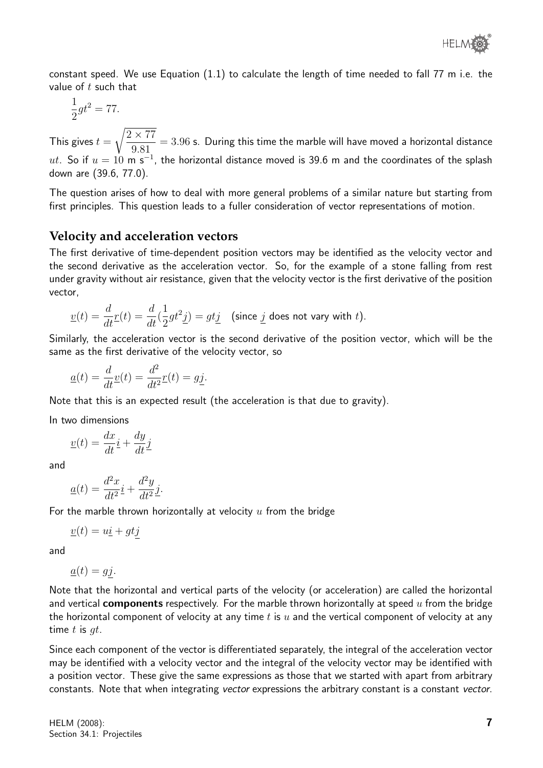constant speed. We use Equation (1.1) to calculate the length of time needed to fall 77 m i.e. the value of  $t$  such that

$$
\frac{1}{2}gt^2 = 77.
$$

This gives  $t =$  $\sqrt{2 \times 77}$ 9.81  $= 3.96$  s. During this time the marble will have moved a horizontal distance  $ut.$  So if  $u = 10$  m s $^{-1}$ , the horizontal distance moved is 39.6 m and the coordinates of the splash down are (39.6, 77.0).

The question arises of how to deal with more general problems of a similar nature but starting from first principles. This question leads to a fuller consideration of vector representations of motion.

#### **Velocity and acceleration vectors**

The first derivative of time-dependent position vectors may be identified as the velocity vector and the second derivative as the acceleration vector. So, for the example of a stone falling from rest under gravity without air resistance, given that the velocity vector is the first derivative of the position vector,

$$
\underline{v}(t) = \frac{d}{dt}\underline{r}(t) = \frac{d}{dt}(\frac{1}{2}gt^2\underline{j}) = gt\underline{j} \quad \text{(since } \underline{j} \text{ does not vary with } t\text{)}.
$$

Similarly, the acceleration vector is the second derivative of the position vector, which will be the same as the first derivative of the velocity vector, so

$$
\underline{a}(t) = \frac{d}{dt}\underline{v}(t) = \frac{d^2}{dt^2}\underline{r}(t) = g\underline{j}.
$$

Note that this is an expected result (the acceleration is that due to gravity).

In two dimensions

$$
\underline{v}(t) = \frac{dx}{dt}\underline{i} + \frac{dy}{dt}\underline{j}
$$

and

$$
\underline{a}(t) = \frac{d^2x}{dt^2}\underline{i} + \frac{d^2y}{dt^2}\underline{j}.
$$

For the marble thrown horizontally at velocity  $u$  from the bridge

$$
\underline{v}(t) = u\underline{i} + gt\underline{j}
$$

and

$$
\underline{a}(t) = gj.
$$

Note that the horizontal and vertical parts of the velocity (or acceleration) are called the horizontal and vertical **components** respectively. For the marble thrown horizontally at speed  $u$  from the bridge the horizontal component of velocity at any time  $t$  is  $u$  and the vertical component of velocity at any time  $t$  is  $qt$ .

Since each component of the vector is differentiated separately, the integral of the acceleration vector may be identified with a velocity vector and the integral of the velocity vector may be identified with a position vector. These give the same expressions as those that we started with apart from arbitrary constants. Note that when integrating vector expressions the arbitrary constant is a constant vector.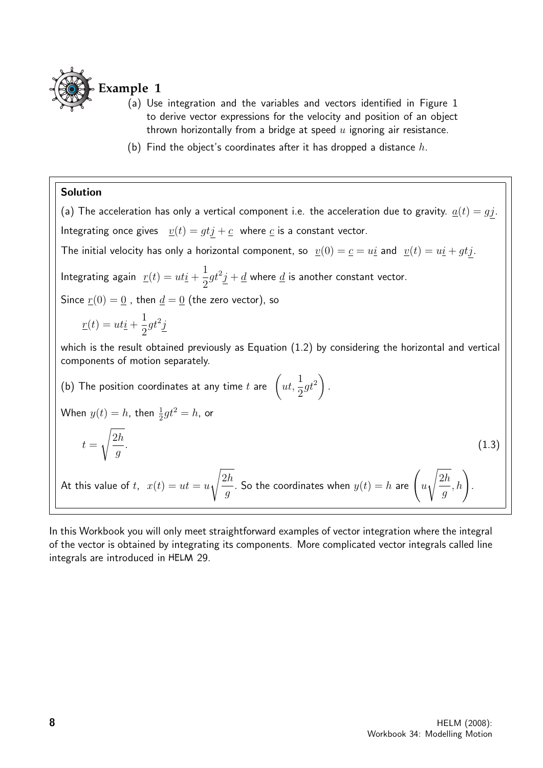

- (a) Use integration and the variables and vectors identified in Figure 1 to derive vector expressions for the velocity and position of an object thrown horizontally from a bridge at speed  $u$  ignoring air resistance.
- (b) Find the object's coordinates after it has dropped a distance  $h$ .

#### Solution

(a) The acceleration has only a vertical component i.e. the acceleration due to gravity.  $\underline{a}(t) = gj$ . Integrating once gives  $\underline{v}(t) = gtj + c$  where c is a constant vector. The initial velocity has only a horizontal component, so  $v(0) = c = u\dot{u}$  and  $v(t) = u\dot{u} + gt\dot{y}$ . Integrating again  $r(t) = uti +$ 1 2  $gt^2j+\underline{d}$  where  $\underline{d}$  is another constant vector. Since  $r(0) = 0$ , then  $d = 0$  (the zero vector), so  $r(t) = uti +$ 1 2  $gt^2j$ which is the result obtained previously as Equation (1.2) by considering the horizontal and vertical components of motion separately. (b) The position coordinates at any time  $t$  are  $\;\Big\{u t,$ 1 2  $gt^2$ . When  $y(t) = h$ , then  $\frac{1}{2}gt^2 = h$ , or  $t =$  $\sqrt{2h}$ g .  $(1.3)$ At this value of t,  $x(t) = ut = u$  $\sqrt{2h}$ g . So the coordinates when  $y(t)=h$  are  $\int u$  $\sqrt{2h}$ g  $\binom{h}{h}$ .

In this Workbook you will only meet straightforward examples of vector integration where the integral of the vector is obtained by integrating its components. More complicated vector integrals called line integrals are introduced in HELM 29.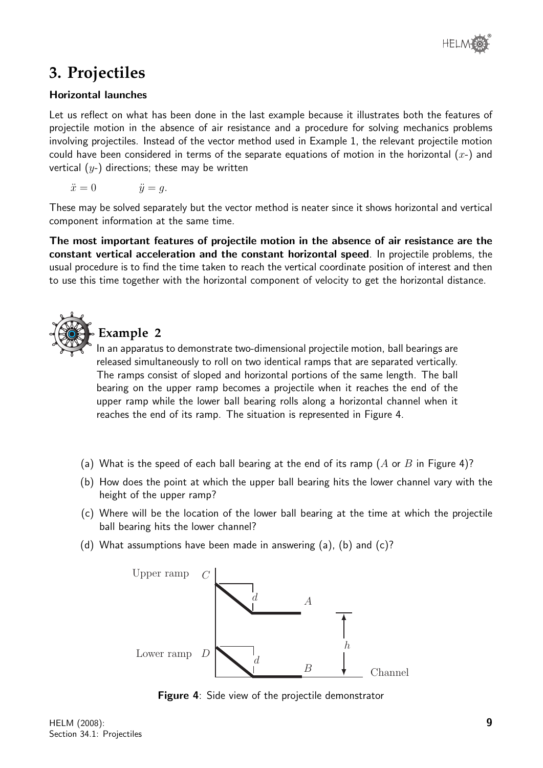## **3. Projectiles**

#### Horizontal launches

Let us reflect on what has been done in the last example because it illustrates both the features of projectile motion in the absence of air resistance and a procedure for solving mechanics problems involving projectiles. Instead of the vector method used in Example 1, the relevant projectile motion could have been considered in terms of the separate equations of motion in the horizontal  $(x<sub>-</sub>)$  and vertical  $(y<sub>-</sub>)$  directions; these may be written

$$
\ddot{x} = 0 \qquad \qquad \ddot{y} = g.
$$

These may be solved separately but the vector method is neater since it shows horizontal and vertical component information at the same time.

The most important features of projectile motion in the absence of air resistance are the constant vertical acceleration and the constant horizontal speed. In projectile problems, the usual procedure is to find the time taken to reach the vertical coordinate position of interest and then to use this time together with the horizontal component of velocity to get the horizontal distance.



## **Example 2**

In an apparatus to demonstrate two-dimensional projectile motion, ball bearings are released simultaneously to roll on two identical ramps that are separated vertically. The ramps consist of sloped and horizontal portions of the same length. The ball bearing on the upper ramp becomes a projectile when it reaches the end of the upper ramp while the lower ball bearing rolls along a horizontal channel when it reaches the end of its ramp. The situation is represented in Figure 4.

- (a) What is the speed of each ball bearing at the end of its ramp (A or B in Figure 4)?
- (b) How does the point at which the upper ball bearing hits the lower channel vary with the height of the upper ramp?
- (c) Where will be the location of the lower ball bearing at the time at which the projectile ball bearing hits the lower channel?
- (d) What assumptions have been made in answering  $(a)$ ,  $(b)$  and  $(c)$ ?



**Figure 4:** Side view of the projectile demonstrator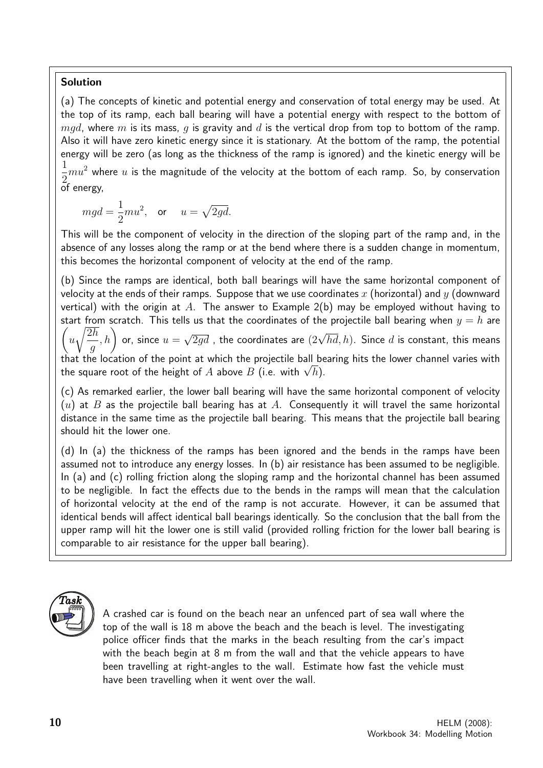#### Solution

(a) The concepts of kinetic and potential energy and conservation of total energy may be used. At the top of its ramp, each ball bearing will have a potential energy with respect to the bottom of  $mqd$ , where m is its mass, q is gravity and d is the vertical drop from top to bottom of the ramp. Also it will have zero kinetic energy since it is stationary. At the bottom of the ramp, the potential energy will be zero (as long as the thickness of the ramp is ignored) and the kinetic energy will be 1

2  $mu^2$  where  $u$  is the magnitude of the velocity at the bottom of each ramp. So, by conservation of energy,

$$
mgd = \frac{1}{2}mu^2, \quad \text{or} \quad u = \sqrt{2gd}.
$$

This will be the component of velocity in the direction of the sloping part of the ramp and, in the absence of any losses along the ramp or at the bend where there is a sudden change in momentum, this becomes the horizontal component of velocity at the end of the ramp.

(b) Since the ramps are identical, both ball bearings will have the same horizontal component of velocity at the ends of their ramps. Suppose that we use coordinates x (horizontal) and y (downward vertical) with the origin at  $A$ . The answer to Example 2(b) may be employed without having to start from scratch. This tells us that the coordinates of the projectile ball bearing when  $y = h$  are  $\sqrt{ }$  $\overline{u}$ <sup>1</sup>  $\overline{2h}$ g  $\left( n, h \right)$  or, since  $u =$  $\sqrt{2gd}$  , the coordinates are  $(2\sqrt{hd}, h)$ . Since d is constant, this means that the location of the point at which the projectile ball bearing hits the lower channel varies with that the location of the point at which the projectile ball be<br>the square root of the height of  $A$  above  $B$  (i.e. with  $\sqrt{h}$ ).

(c) As remarked earlier, the lower ball bearing will have the same horizontal component of velocity  $(u)$  at B as the projectile ball bearing has at A. Consequently it will travel the same horizontal distance in the same time as the projectile ball bearing. This means that the projectile ball bearing should hit the lower one.

(d) In (a) the thickness of the ramps has been ignored and the bends in the ramps have been assumed not to introduce any energy losses. In (b) air resistance has been assumed to be negligible. In (a) and (c) rolling friction along the sloping ramp and the horizontal channel has been assumed to be negligible. In fact the effects due to the bends in the ramps will mean that the calculation of horizontal velocity at the end of the ramp is not accurate. However, it can be assumed that identical bends will affect identical ball bearings identically. So the conclusion that the ball from the upper ramp will hit the lower one is still valid (provided rolling friction for the lower ball bearing is comparable to air resistance for the upper ball bearing).



A crashed car is found on the beach near an unfenced part of sea wall where the top of the wall is 18 m above the beach and the beach is level. The investigating police officer finds that the marks in the beach resulting from the car's impact with the beach begin at 8 m from the wall and that the vehicle appears to have been travelling at right-angles to the wall. Estimate how fast the vehicle must have been travelling when it went over the wall.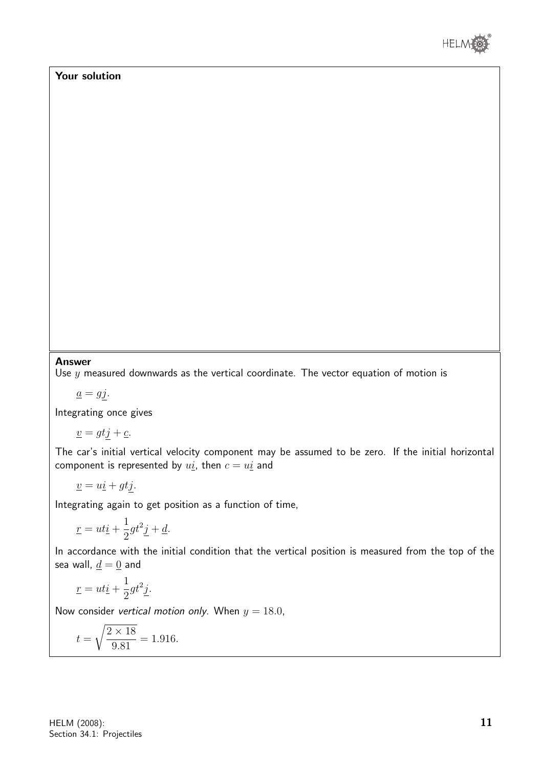

#### Your solution

#### Answer

Use  $y$  measured downwards as the vertical coordinate. The vector equation of motion is

$$
\underline{a}=gj.
$$

Integrating once gives

$$
\underline{v} = gtj + \underline{c}.
$$

The car's initial vertical velocity component may be assumed to be zero. If the initial horizontal component is represented by  $u_i$ , then  $c = u_i$  and

$$
\underline{v} = u\underline{i} + gt\underline{j}.
$$

Integrating again to get position as a function of time,

$$
\underline{r} = ut\underline{i} + \frac{1}{2}gt^2\underline{j} + \underline{d}.
$$

In accordance with the initial condition that the vertical position is measured from the top of the sea wall,  $d = 0$  and

$$
\underline{r} = ut\underline{i} + \frac{1}{2}gt^2\underline{j}.
$$

Now consider vertical motion only. When  $y = 18.0$ ,

$$
t = \sqrt{\frac{2 \times 18}{9.81}} = 1.916.
$$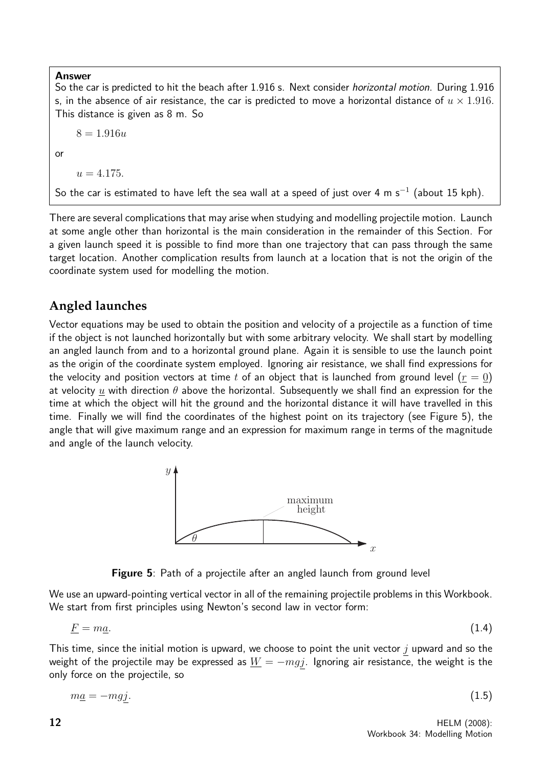#### Answer

So the car is predicted to hit the beach after 1.916 s. Next consider *horizontal motion*. During 1.916 s, in the absence of air resistance, the car is predicted to move a horizontal distance of  $u \times 1.916$ . This distance is given as 8 m. So

 $8 = 1.916u$ 

or

 $u = 4.175.$ 

So the car is estimated to have left the sea wall at a speed of just over 4 m s $^{-1}$  (about 15 kph).

There are several complications that may arise when studying and modelling projectile motion. Launch at some angle other than horizontal is the main consideration in the remainder of this Section. For a given launch speed it is possible to find more than one trajectory that can pass through the same target location. Another complication results from launch at a location that is not the origin of the coordinate system used for modelling the motion.

#### **Angled launches**

Vector equations may be used to obtain the position and velocity of a projectile as a function of time if the object is not launched horizontally but with some arbitrary velocity. We shall start by modelling an angled launch from and to a horizontal ground plane. Again it is sensible to use the launch point as the origin of the coordinate system employed. Ignoring air resistance, we shall find expressions for the velocity and position vectors at time t of an object that is launched from ground level  $(r = 0)$ at velocity  $\underline{u}$  with direction  $\theta$  above the horizontal. Subsequently we shall find an expression for the time at which the object will hit the ground and the horizontal distance it will have travelled in this time. Finally we will find the coordinates of the highest point on its trajectory (see Figure 5), the angle that will give maximum range and an expression for maximum range in terms of the magnitude and angle of the launch velocity.



Figure 5: Path of a projectile after an angled launch from ground level

We use an upward-pointing vertical vector in all of the remaining projectile problems in this Workbook. We start from first principles using Newton's second law in vector form:

$$
\underline{F} = m\underline{a}.\tag{1.4}
$$

This time, since the initial motion is upward, we choose to point the unit vector  $j$  upward and so the weight of the projectile may be expressed as  $\underline{W} = -m\overline{g}j$ . Ignoring air resistance, the weight is the only force on the projectile, so

$$
m\underline{a} = -mgj.\tag{1.5}
$$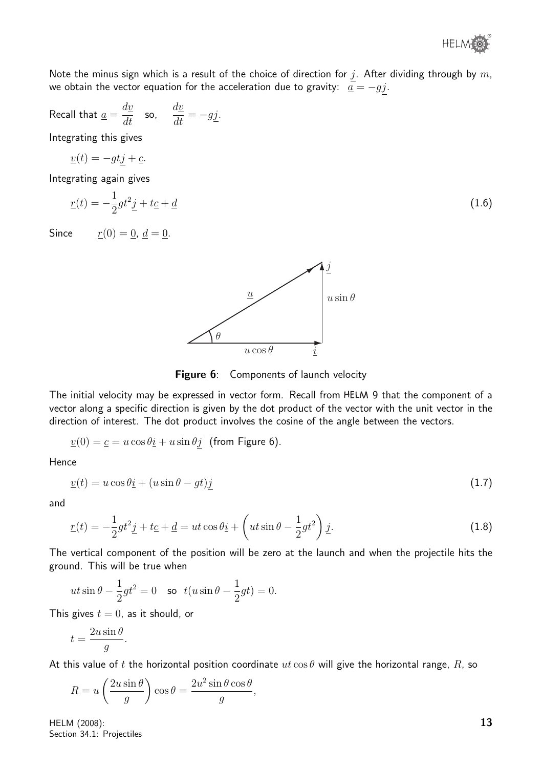

Note the minus sign which is a result of the choice of direction for j. After dividing through by  $m$ , we obtain the vector equation for the acceleration due to gravity:  $\overline{a} = -gj$ .

Recall that 
$$
\underline{a} = \frac{d\underline{v}}{dt}
$$
 so,  $\frac{d\underline{v}}{dt} = -g\underline{j}$ .

Integrating this gives

$$
\underline{v}(t) = -gtj + \underline{c}.
$$

Integrating again gives

$$
\underline{r}(t) = -\frac{1}{2}gt^2\underline{j} + t\underline{c} + \underline{d} \tag{1.6}
$$

Since  $r(0) = 0, d = 0$ .



Figure 6: Components of launch velocity

The initial velocity may be expressed in vector form. Recall from HELM 9 that the component of a vector along a specific direction is given by the dot product of the vector with the unit vector in the direction of interest. The dot product involves the cosine of the angle between the vectors.

$$
\underline{v}(0) = \underline{c} = u \cos \theta \underline{i} + u \sin \theta \underline{j}
$$
 (from Figure 6).

Hence

$$
\underline{v}(t) = u\cos\theta\underline{i} + (u\sin\theta - gt)\underline{j} \tag{1.7}
$$

and

$$
\underline{r}(t) = -\frac{1}{2}gt^2\underline{j} + t\underline{c} + \underline{d} = ut\cos\theta\underline{i} + \left(ut\sin\theta - \frac{1}{2}gt^2\right)\underline{j}.
$$
\n(1.8)

The vertical component of the position will be zero at the launch and when the projectile hits the ground. This will be true when

$$
ut\sin\theta - \frac{1}{2}gt^2 = 0
$$
 so  $t(u\sin\theta - \frac{1}{2}gt) = 0$ .

This gives  $t = 0$ , as it should, or

$$
t = \frac{2u\sin\theta}{g}.
$$

At this value of t the horizontal position coordinate  $ut \cos \theta$  will give the horizontal range, R, so

$$
R = u\left(\frac{2u\sin\theta}{g}\right)\cos\theta = \frac{2u^2\sin\theta\cos\theta}{g},
$$

HELM (2008): Section 34.1: Projectiles 13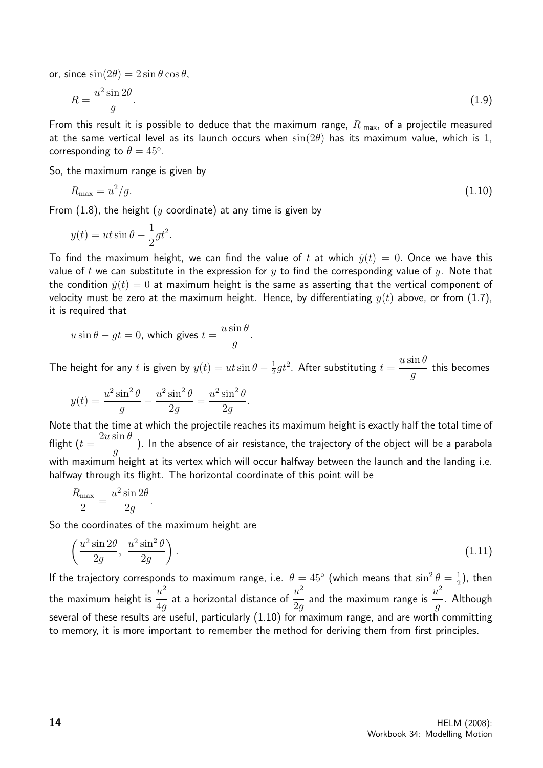or, since  $\sin(2\theta) = 2\sin\theta\cos\theta$ ,

$$
R = \frac{u^2 \sin 2\theta}{g}.\tag{1.9}
$$

From this result it is possible to deduce that the maximum range,  $R_{\text{max}}$ , of a projectile measured at the same vertical level as its launch occurs when  $sin(2\theta)$  has its maximum value, which is 1, corresponding to  $\theta = 45^\circ$ .

So, the maximum range is given by

$$
R_{\text{max}} = u^2/g. \tag{1.10}
$$

From  $(1.8)$ , the height  $(y \text{ coordinate})$  at any time is given by

$$
y(t) = ut\sin\theta - \frac{1}{2}gt^2.
$$

To find the maximum height, we can find the value of t at which  $\dot{y}(t) = 0$ . Once we have this value of t we can substitute in the expression for y to find the corresponding value of y. Note that the condition  $\dot{y}(t) = 0$  at maximum height is the same as asserting that the vertical component of velocity must be zero at the maximum height. Hence, by differentiating  $y(t)$  above, or from (1.7), it is required that

$$
u\sin\theta - gt = 0
$$
, which gives  $t = \frac{u\sin\theta}{g}$ .

The height for any t is given by  $y(t) = ut \sin \theta - \frac{1}{2}$  $\frac{1}{2}gt^2$ . After substituting  $t=$  $u \sin \theta$ g this becomes

$$
y(t) = \frac{u^2 \sin^2 \theta}{g} - \frac{u^2 \sin^2 \theta}{2g} = \frac{u^2 \sin^2 \theta}{2g}.
$$

Note that the time at which the projectile reaches its maximum height is exactly half the total time of flight ( $t=$  $2u \sin \theta$ g ). In the absence of air resistance, the trajectory of the object will be a parabola with maximum height at its vertex which will occur halfway between the launch and the landing i.e. halfway through its flight. The horizontal coordinate of this point will be

$$
\frac{R_{\text{max}}}{2} = \frac{u^2 \sin 2\theta}{2g}.
$$

So the coordinates of the maximum height are

$$
\left(\frac{u^2\sin 2\theta}{2g}, \ \frac{u^2\sin^2\theta}{2g}\right). \tag{1.11}
$$

If the trajectory corresponds to maximum range, i.e.  $\theta = 45^{\circ}$  (which means that  $\sin^2 \theta = \frac{1}{2}$  $(\frac{1}{2})$ , then the maximum height is  $\frac{u^2}{4}$ 4g at a horizontal distance of  $\frac{u^2}{2}$ 2g and the maximum range is  $\stackrel{u^2}{-}$ g . Although several of these results are useful, particularly (1.10) for maximum range, and are worth committing to memory, it is more important to remember the method for deriving them from first principles.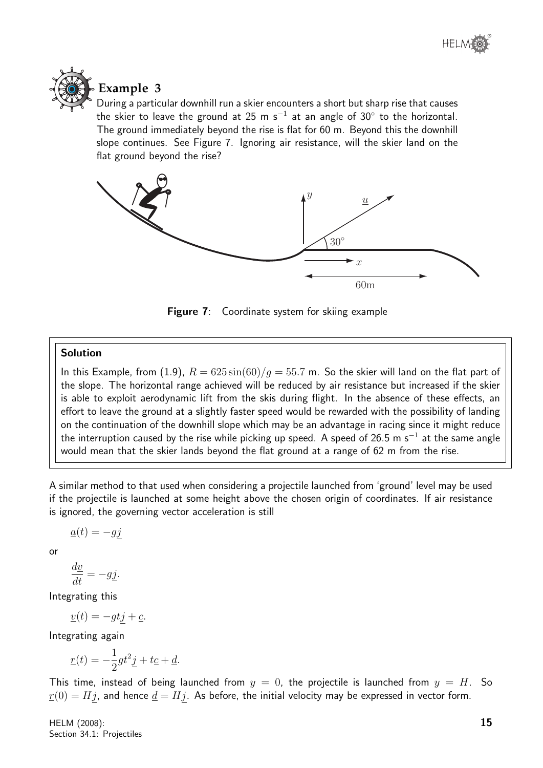



## **Example 3**

During a particular downhill run a skier encounters a short but sharp rise that causes the skier to leave the ground at 25 m s<sup>-1</sup> at an angle of 30 $^{\circ}$  to the horizontal. The ground immediately beyond the rise is flat for 60 m. Beyond this the downhill slope continues. See Figure 7. Ignoring air resistance, will the skier land on the flat ground beyond the rise?



**Figure 7:** Coordinate system for skiing example

#### Solution

In this Example, from (1.9),  $R = 625 \sin(60)/g = 55.7$  m. So the skier will land on the flat part of the slope. The horizontal range achieved will be reduced by air resistance but increased if the skier is able to exploit aerodynamic lift from the skis during flight. In the absence of these effects, an effort to leave the ground at a slightly faster speed would be rewarded with the possibility of landing on the continuation of the downhill slope which may be an advantage in racing since it might reduce the interruption caused by the rise while picking up speed. A speed of 26.5 m s $^{-1}$  at the same angle would mean that the skier lands beyond the flat ground at a range of 62 m from the rise.

A similar method to that used when considering a projectile launched from 'ground' level may be used if the projectile is launched at some height above the chosen origin of coordinates. If air resistance is ignored, the governing vector acceleration is still

$$
\underline{a}(t) = -gj
$$

or

$$
\frac{dy}{dt} = -g\underline{j}.
$$

Integrating this

 $\underline{v}(t) = -gtj + \underline{c}.$ 

Integrating again

$$
\underline{r}(t) = -\frac{1}{2}gt^2\underline{j} + t\underline{c} + \underline{d}.
$$

This time, instead of being launched from  $y = 0$ , the projectile is launched from  $y = H$ . So  $r(0) = Hj$ , and hence  $\underline{d} = Hj$ . As before, the initial velocity may be expressed in vector form.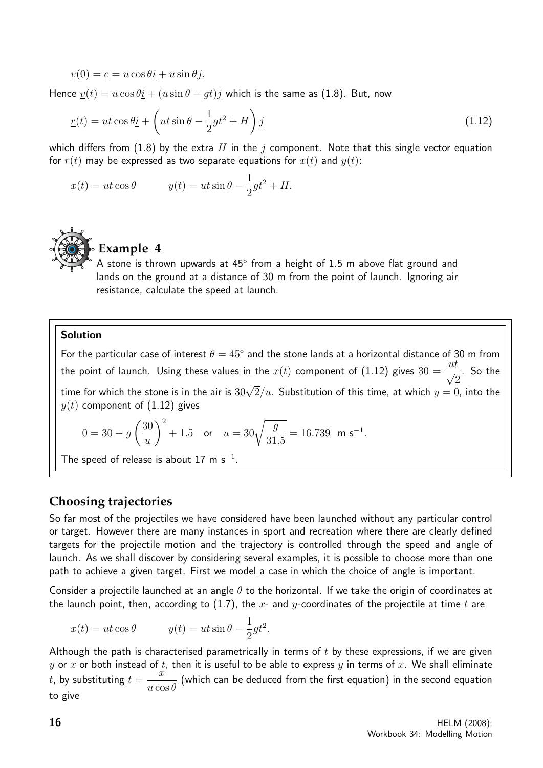$v(0) = c = u \cos \theta \hat{i} + u \sin \theta \hat{j}.$ 

Hence  $\underline{v}(t) = u \cos \theta \underline{i} + (u \sin \theta - gt)j$  which is the same as (1.8). But, now

$$
\underline{r}(t) = ut \cos \theta \underline{i} + \left( ut \sin \theta - \frac{1}{2}gt^2 + H \right) \underline{j}
$$
\n(1.12)

which differs from (1.8) by the extra H in the j component. Note that this single vector equation for  $r(t)$  may be expressed as two separate equations for  $x(t)$  and  $y(t)$ :

$$
x(t) = ut\cos\theta \qquad y(t) = ut\sin\theta - \frac{1}{2}gt^2 + H.
$$



### **Example 4**

A stone is thrown upwards at  $45^{\circ}$  from a height of 1.5 m above flat ground and lands on the ground at a distance of 30 m from the point of launch. Ignoring air resistance, calculate the speed at launch.

#### Solution

For the particular case of interest  $\theta = 45^{\circ}$  and the stone lands at a horizontal distance of 30 m from the point of launch. Using these values in the  $x(t)$  component of (1.12) gives  $30 =$  $\frac{ut}{\sqrt{2}}$  $\overline{2}$ . So the time for which the stone is in the air is  $30\sqrt{2}/u$ . Substitution of this time, at which  $y=0$ , into the  $y(t)$  component of (1.12) gives

$$
0 = 30 - g\left(\frac{30}{u}\right)^2 + 1.5 \quad \text{or} \quad u = 30\sqrt{\frac{g}{31.5}} = 16.739 \quad \text{m s}^{-1}.
$$

The speed of release is about 17 m  $s^{-1}$ .

#### **Choosing trajectories**

So far most of the projectiles we have considered have been launched without any particular control or target. However there are many instances in sport and recreation where there are clearly defined targets for the projectile motion and the trajectory is controlled through the speed and angle of launch. As we shall discover by considering several examples, it is possible to choose more than one path to achieve a given target. First we model a case in which the choice of angle is important.

Consider a projectile launched at an angle  $\theta$  to the horizontal. If we take the origin of coordinates at the launch point, then, according to (1.7), the x- and y-coordinates of the projectile at time t are

$$
x(t) = ut\cos\theta \qquad y(t) = ut\sin\theta - \frac{1}{2}gt^2.
$$

Although the path is characterised parametrically in terms of  $t$  by these expressions, if we are given y or x or both instead of t, then it is useful to be able to express y in terms of x. We shall eliminate t, by substituting  $t =$  $\tilde{x}$  $u\cos\theta$ (which can be deduced from the first equation) in the second equation to give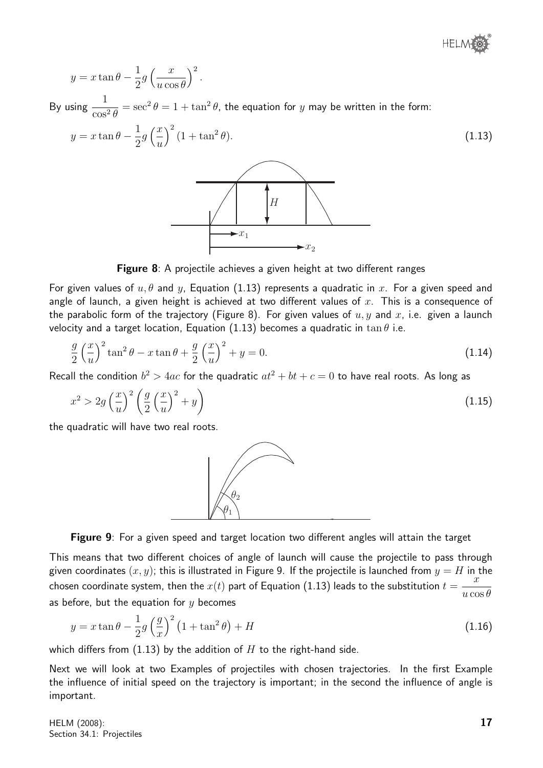$$
y = x \tan \theta - \frac{1}{2} g \left(\frac{x}{u \cos \theta}\right)^2.
$$

By using  $\frac{1}{\cdots}$  $\cos^2\theta$  $\epsilon = \sec^2\theta = 1 + \tan^2\theta$ , the equation for  $y$  may be written in the form:

$$
y = x \tan \theta - \frac{1}{2} g \left(\frac{x}{u}\right)^2 (1 + \tan^2 \theta). \tag{1.13}
$$



**Figure 8**: A projectile achieves a given height at two different ranges

For given values of  $u, \theta$  and y, Equation (1.13) represents a quadratic in x. For a given speed and angle of launch, a given height is achieved at two different values of  $x$ . This is a consequence of the parabolic form of the trajectory (Figure 8). For given values of  $u, y$  and  $x$ , i.e. given a launch velocity and a target location, Equation (1.13) becomes a quadratic in tan  $\theta$  i.e.

$$
\frac{g}{2}\left(\frac{x}{u}\right)^2 \tan^2\theta - x \tan\theta + \frac{g}{2}\left(\frac{x}{u}\right)^2 + y = 0.
$$
\n(1.14)

Recall the condition  $b^2 > 4ac$  for the quadratic  $at^2 + bt + c = 0$  to have real roots. As long as

$$
x^2 > 2g\left(\frac{x}{u}\right)^2 \left(\frac{g}{2}\left(\frac{x}{u}\right)^2 + y\right) \tag{1.15}
$$

the quadratic will have two real roots.





This means that two different choices of angle of launch will cause the projectile to pass through given coordinates  $(x, y)$ ; this is illustrated in Figure 9. If the projectile is launched from  $y = H$  in the chosen coordinate system, then the  $x(t)$  part of Equation (1.13) leads to the substitution  $t=$  $\overline{x}$  $u\cos\theta$ as before, but the equation for  $y$  becomes

$$
y = x \tan \theta - \frac{1}{2} g \left(\frac{g}{x}\right)^2 \left(1 + \tan^2 \theta\right) + H \tag{1.16}
$$

which differs from  $(1.13)$  by the addition of H to the right-hand side.

Next we will look at two Examples of projectiles with chosen trajectories. In the first Example the influence of initial speed on the trajectory is important; in the second the influence of angle is important.

HELM (2008): Section 34.1: Projectiles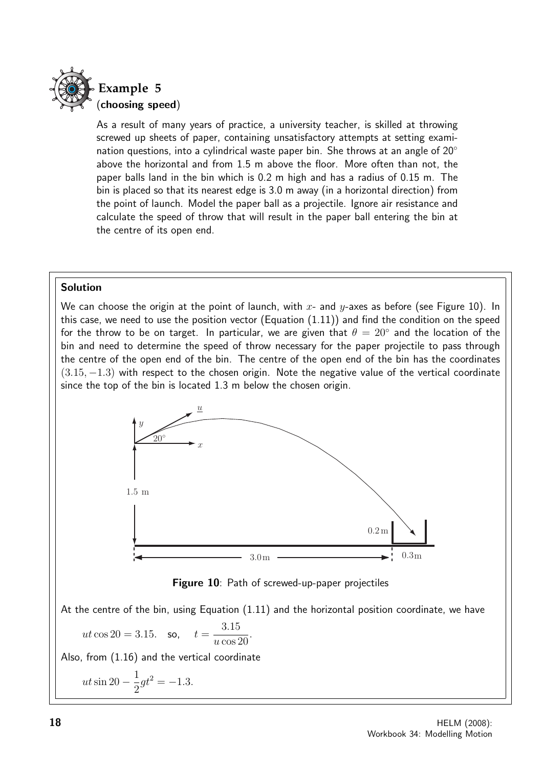

As a result of many years of practice, a university teacher, is skilled at throwing screwed up sheets of paper, containing unsatisfactory attempts at setting examination questions, into a cylindrical waste paper bin. She throws at an angle of  $20^\circ$ above the horizontal and from 1.5 m above the floor. More often than not, the paper balls land in the bin which is 0.2 m high and has a radius of 0.15 m. The bin is placed so that its nearest edge is 3.0 m away (in a horizontal direction) from the point of launch. Model the paper ball as a projectile. Ignore air resistance and calculate the speed of throw that will result in the paper ball entering the bin at the centre of its open end.

#### Solution

We can choose the origin at the point of launch, with x- and  $y$ -axes as before (see Figure 10). In this case, we need to use the position vector (Equation  $(1.11)$ ) and find the condition on the speed for the throw to be on target. In particular, we are given that  $\theta = 20^{\circ}$  and the location of the bin and need to determine the speed of throw necessary for the paper projectile to pass through the centre of the open end of the bin. The centre of the open end of the bin has the coordinates  $(3.15, -1.3)$  with respect to the chosen origin. Note the negative value of the vertical coordinate since the top of the bin is located 1.3 m below the chosen origin.





At the centre of the bin, using Equation (1.11) and the horizontal position coordinate, we have

$$
ut \cos 20 = 3.15.
$$
 so,  $t = \frac{3.15}{u \cos 20}.$ 

Also, from (1.16) and the vertical coordinate

$$
ut\sin 20 - \frac{1}{2}gt^2 = -1.3.
$$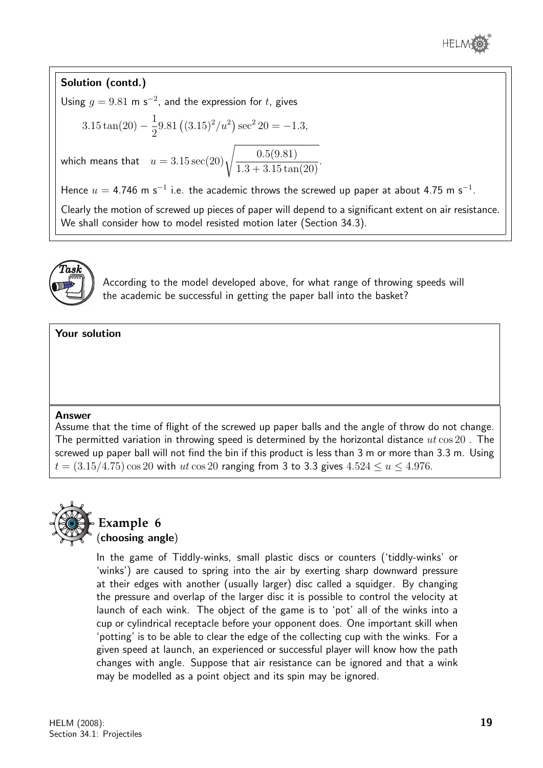

#### Solution (contd.)

Using  $g = 9.81$  m s<sup>-2</sup>, and the expression for t, gives

$$
3.15\tan(20) - \frac{1}{2}9.81\left((3.15)^2/u^2\right)\sec^2 20 = -1.3,
$$

which means that  $u = 3.15 \sec(20) \sqrt{\frac{0.5(9.81)}{1.3 \times 2.15}}$  $\frac{3.8(0.81)}{1.3 + 3.15\tan(20)}.$ 

Hence  $u = 4.746$  m s<sup>-1</sup> i.e. the academic throws the screwed up paper at about 4.75 m s<sup>-1</sup>.

Clearly the motion of screwed up pieces of paper will depend to a significant extent on air resistance. We shall consider how to model resisted motion later (Section 34.3).



According to the model developed above, for what range of throwing speeds will the academic be successful in getting the paper ball into the basket?

Your solution

#### Answer

Assume that the time of flight of the screwed up paper balls and the angle of throw do not change. The permitted variation in throwing speed is determined by the horizontal distance  $ut \cos 20$ . The screwed up paper ball will not find the bin if this product is less than 3 m or more than 3.3 m. Using  $t = (3.15/4.75) \cos 20$  with ut  $\cos 20$  ranging from 3 to 3.3 gives  $4.524 \le u \le 4.976$ .



**Example 6** (choosing angle)

In the game of Tiddly-winks, small plastic discs or counters ('tiddly-winks' or 'winks') are caused to spring into the air by exerting sharp downward pressure at their edges with another (usually larger) disc called a squidger. By changing the pressure and overlap of the larger disc it is possible to control the velocity at launch of each wink. The object of the game is to 'pot' all of the winks into a cup or cylindrical receptacle before your opponent does. One important skill when 'potting' is to be able to clear the edge of the collecting cup with the winks. For a given speed at launch, an experienced or successful player will know how the path changes with angle. Suppose that air resistance can be ignored and that a wink may be modelled as a point object and its spin may be ignored.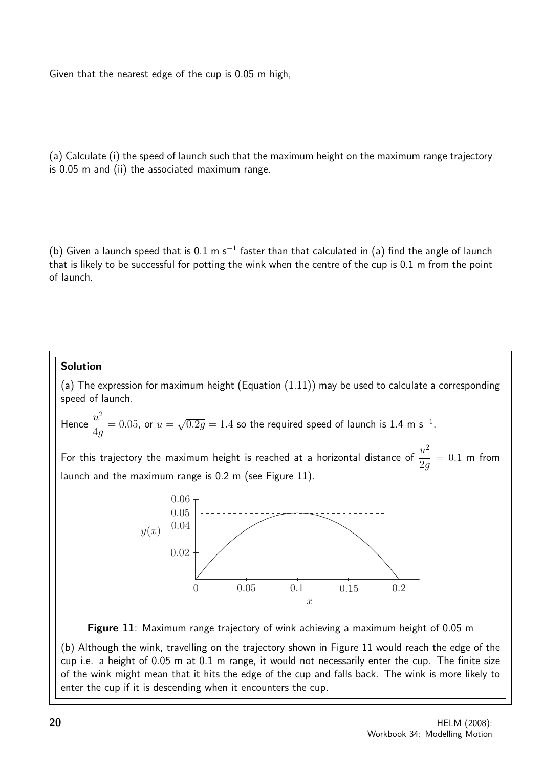Given that the nearest edge of the cup is 0.05 m high,

(a) Calculate (i) the speed of launch such that the maximum height on the maximum range trajectory is 0.05 m and (ii) the associated maximum range.

(b) Given a launch speed that is 0.1 m s<sup>-1</sup> faster than that calculated in (a) find the angle of launch that is likely to be successful for potting the wink when the centre of the cup is 0.1 m from the point of launch.

#### Solution

(a) The expression for maximum height (Equation (1.11)) may be used to calculate a corresponding speed of launch.

Hence 
$$
\frac{u^2}{4g} = 0.05
$$
, or  $u = \sqrt{0.2g} = 1.4$  so the required speed of launch is 1.4 m s<sup>-1</sup>.

For this trajectory the maximum height is reached at a horizontal distance of  $\frac{u^2}{2}$ 2g  $= 0.1$  m from launch and the maximum range is 0.2 m (see Figure 11).



Figure 11: Maximum range trajectory of wink achieving a maximum height of 0.05 m

(b) Although the wink, travelling on the trajectory shown in Figure 11 would reach the edge of the cup i.e. a height of 0.05 m at 0.1 m range, it would not necessarily enter the cup. The finite size of the wink might mean that it hits the edge of the cup and falls back. The wink is more likely to enter the cup if it is descending when it encounters the cup.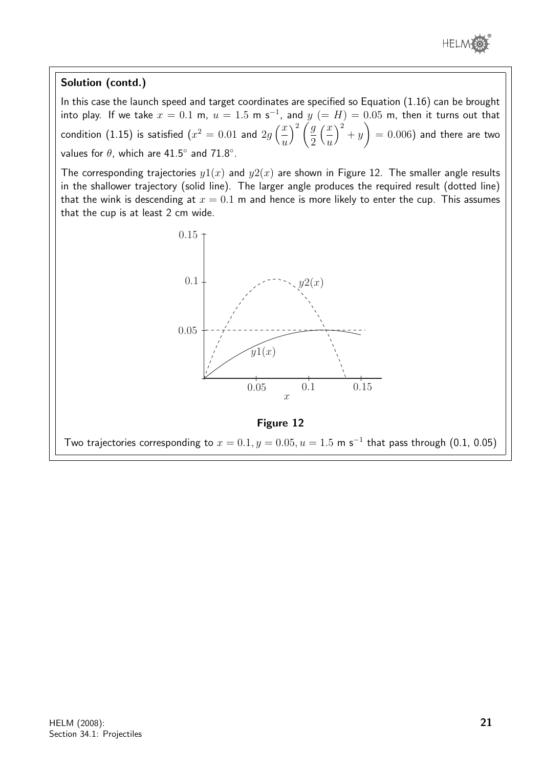

#### Solution (contd.)

In this case the launch speed and target coordinates are specified so Equation (1.16) can be brought into play. If we take  $x=0.1$  m,  $u=1.5$  m s<sup>-1</sup>, and  $y$   $(=H)=0.05$  m, then it turns out that condition (1.15) is satisfied  $(x^2=0.01$  and  $2g\left(\frac{x^2}{x}\right)$ u  $\big\backslash^2 \big/ g$ 2  $\frac{x}{2}$ u  $\big)^2 + y$  $\setminus$  $= 0.006$ ) and there are two values for  $\theta$ , which are 41.5 $^{\circ}$  and 71.8 $^{\circ}$ .

The corresponding trajectories  $y(x)$  and  $y(2(x))$  are shown in Figure 12. The smaller angle results in the shallower trajectory (solid line). The larger angle produces the required result (dotted line) that the wink is descending at  $x = 0.1$  m and hence is more likely to enter the cup. This assumes that the cup is at least 2 cm wide.





Two trajectories corresponding to  $x=0.1, y=0.05, u=1.5$  m s $^{-1}$  that pass through (0.1, 0.05)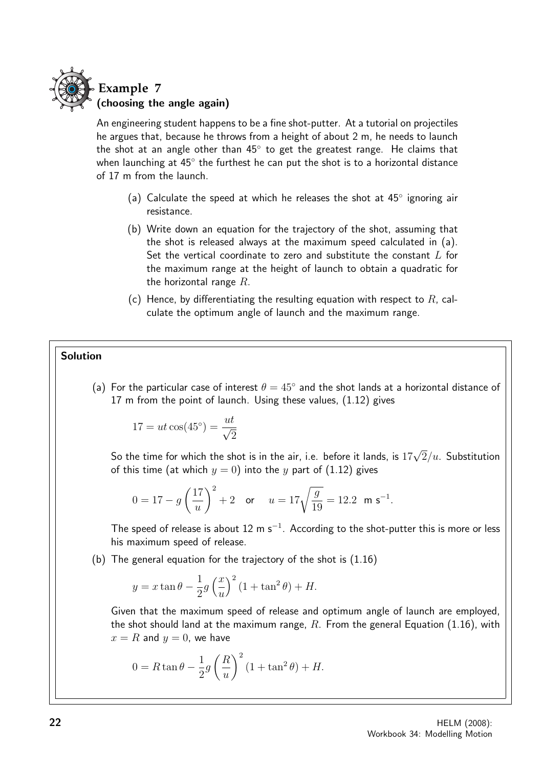

An engineering student happens to be a fine shot-putter. At a tutorial on projectiles he argues that, because he throws from a height of about 2 m, he needs to launch the shot at an angle other than  $45^{\circ}$  to get the greatest range. He claims that when launching at  $45^{\circ}$  the furthest he can put the shot is to a horizontal distance of 17 m from the launch.

- (a) Calculate the speed at which he releases the shot at 45° ignoring air resistance.
- (b) Write down an equation for the trajectory of the shot, assuming that the shot is released always at the maximum speed calculated in (a). Set the vertical coordinate to zero and substitute the constant  $L$  for the maximum range at the height of launch to obtain a quadratic for the horizontal range  $R$ .
- (c) Hence, by differentiating the resulting equation with respect to  $R$ , calculate the optimum angle of launch and the maximum range.

#### Solution

(a) For the particular case of interest  $\theta = 45^{\circ}$  and the shot lands at a horizontal distance of 17 m from the point of launch. Using these values, (1.12) gives

$$
17 = ut\cos(45^\circ) = \frac{ut}{\sqrt{2}}
$$

So the time for which the shot is in the air, i.e. before it lands, is 17 $\sqrt{2}/u$ . Substitution of this time (at which  $y = 0$ ) into the y part of (1.12) gives

$$
0 = 17 - g\left(\frac{17}{u}\right)^2 + 2 \quad \text{or} \quad u = 17\sqrt{\frac{g}{19}} = 12.2 \text{ m s}^{-1}.
$$

The speed of release is about 12 m s<sup>-1</sup>. According to the shot-putter this is more or less his maximum speed of release.

(b) The general equation for the trajectory of the shot is (1.16)

$$
y = x \tan \theta - \frac{1}{2} g \left(\frac{x}{u}\right)^2 (1 + \tan^2 \theta) + H.
$$

Given that the maximum speed of release and optimum angle of launch are employed, the shot should land at the maximum range,  $R$ . From the general Equation (1.16), with  $x = R$  and  $y = 0$ , we have

$$
0 = R \tan \theta - \frac{1}{2} g \left(\frac{R}{u}\right)^2 (1 + \tan^2 \theta) + H.
$$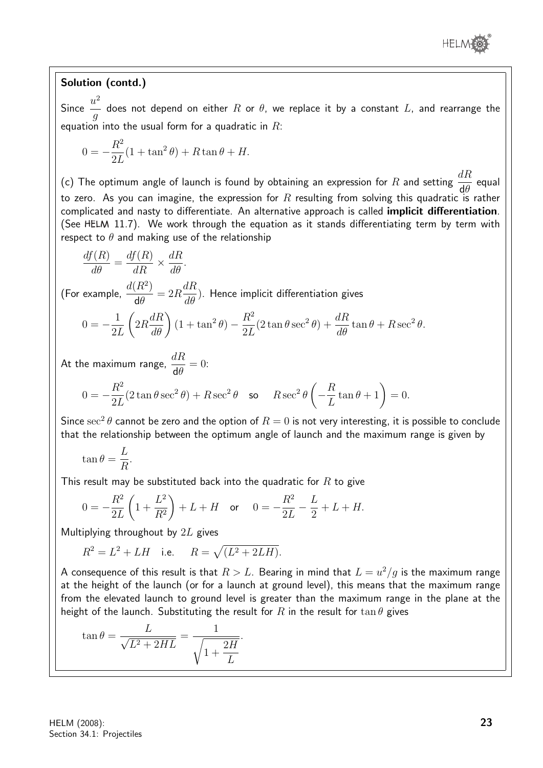

#### Solution (contd.)

Since  $\frac{u^2}{u}$ g does not depend on either  $R$  or  $\theta$ , we replace it by a constant  $L$ , and rearrange the equation into the usual form for a quadratic in  $R$ :

$$
0 = -\frac{R^2}{2L}(1 + \tan^2 \theta) + R \tan \theta + H.
$$

(c) The optimum angle of launch is found by obtaining an expression for  $R$  and setting  $\frac{dR}{d\Omega}$ dθ equal to zero. As you can imagine, the expression for R resulting from solving this quadratic is rather complicated and nasty to differentiate. An alternative approach is called implicit differentiation. (See HELM 11.7). We work through the equation as it stands differentiating term by term with respect to  $\theta$  and making use of the relationship

$$
\frac{df(R)}{d\theta} = \frac{df(R)}{dR} \times \frac{dR}{d\theta}.
$$

(For example,  $\frac{d(R^2)}{4R}$ dθ  $= 2R$ dR  $\frac{d\mathcal{H}}{d\theta}$ ). Hence implicit differentiation gives

$$
0 = -\frac{1}{2L} \left( 2R \frac{dR}{d\theta} \right) (1 + \tan^2 \theta) - \frac{R^2}{2L} (2 \tan \theta \sec^2 \theta) + \frac{dR}{d\theta} \tan \theta + R \sec^2 \theta.
$$

At the maximum range,  $\frac{dR}{d\omega}$ dθ  $= 0$ :

$$
0 = -\frac{R^2}{2L}(2\tan\theta\sec^2\theta) + R\sec^2\theta \quad \text{so} \quad R\sec^2\theta\left(-\frac{R}{L}\tan\theta + 1\right) = 0.
$$

Since  $\sec^2\theta$  cannot be zero and the option of  $R=0$  is not very interesting, it is possible to conclude that the relationship between the optimum angle of launch and the maximum range is given by

$$
\tan \theta = \frac{L}{R}.
$$

This result may be substituted back into the quadratic for  $R$  to give

$$
0 = -\frac{R^2}{2L} \left( 1 + \frac{L^2}{R^2} \right) + L + H \quad \text{or} \quad 0 = -\frac{R^2}{2L} - \frac{L}{2} + L + H.
$$

Multiplying throughout by 2L gives

$$
R^2 = L^2 + LH
$$
 i.e.  $R = \sqrt{(L^2 + 2LH)}$ .

A consequence of this result is that  $R>L$ . Bearing in mind that  $L=u^2/g$  is the maximum range at the height of the launch (or for a launch at ground level), this means that the maximum range from the elevated launch to ground level is greater than the maximum range in the plane at the height of the launch. Substituting the result for R in the result for  $\tan \theta$  gives

$$
\tan \theta = \frac{L}{\sqrt{L^2 + 2HL}} = \frac{1}{\sqrt{1 + \frac{2H}{L}}}.
$$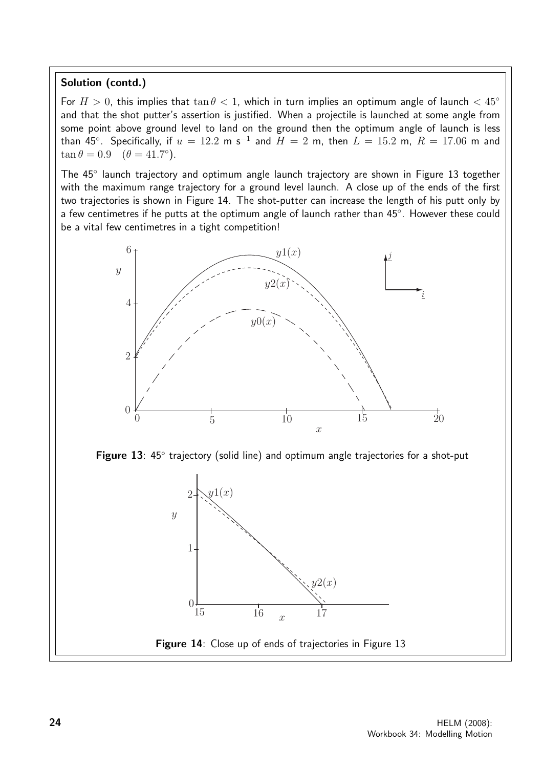#### Solution (contd.)

For  $H > 0$ , this implies that  $\tan \theta < 1$ , which in turn implies an optimum angle of launch  $< 45^{\circ}$ and that the shot putter's assertion is justified. When a projectile is launched at some angle from some point above ground level to land on the ground then the optimum angle of launch is less than 45°. Specifically, if  $u=12.2$  m s $^{-1}$  and  $H=2$  m, then  $L=15.2$  m,  $R=17.06$  m and  $\tan \theta = 0.9 \quad (\theta = 41.7^{\circ}).$ 

The 45° launch trajectory and optimum angle launch trajectory are shown in Figure 13 together with the maximum range trajectory for a ground level launch. A close up of the ends of the first two trajectories is shown in Figure 14. The shot-putter can increase the length of his putt only by a few centimetres if he putts at the optimum angle of launch rather than 45°. However these could be a vital few centimetres in a tight competition!



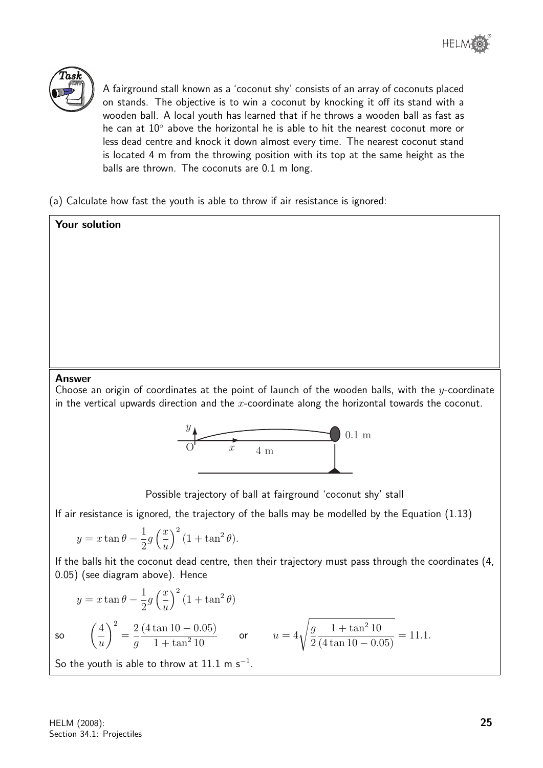

A fairground stall known as a 'coconut shy' consists of an array of coconuts placed on stands. The objective is to win a coconut by knocking it off its stand with a wooden ball. A local youth has learned that if he throws a wooden ball as fast as he can at 10° above the horizontal he is able to hit the nearest coconut more or less dead centre and knock it down almost every time. The nearest coconut stand is located 4 m from the throwing position with its top at the same height as the balls are thrown. The coconuts are 0.1 m long.

(a) Calculate how fast the youth is able to throw if air resistance is ignored:

## Your solution Answer Choose an origin of coordinates at the point of launch of the wooden balls, with the  $y$ -coordinate in the vertical upwards direction and the  $x$ -coordinate along the horizontal towards the coconut.  $\overline{x}$  $\hat{y}$ 4 m 0.1 m O

Possible trajectory of ball at fairground 'coconut shy' stall

If air resistance is ignored, the trajectory of the balls may be modelled by the Equation (1.13)

$$
y = x \tan \theta - \frac{1}{2} g \left(\frac{x}{u}\right)^2 (1 + \tan^2 \theta).
$$

If the balls hit the coconut dead centre, then their trajectory must pass through the coordinates (4, 0.05) (see diagram above). Hence

$$
y = x \tan \theta - \frac{1}{2} g \left(\frac{x}{u}\right)^2 (1 + \tan^2 \theta)
$$
  
so  $\left(\frac{4}{u}\right)^2 = \frac{2}{g} \frac{(4 \tan 10 - 0.05)}{1 + \tan^2 10}$  or  $u = 4 \sqrt{\frac{g}{2} \frac{1 + \tan^2 10}{(4 \tan 10 - 0.05)}} = 11.1.$ 

So the youth is able to throw at  $11.1 \text{ m s}^{-1}$ .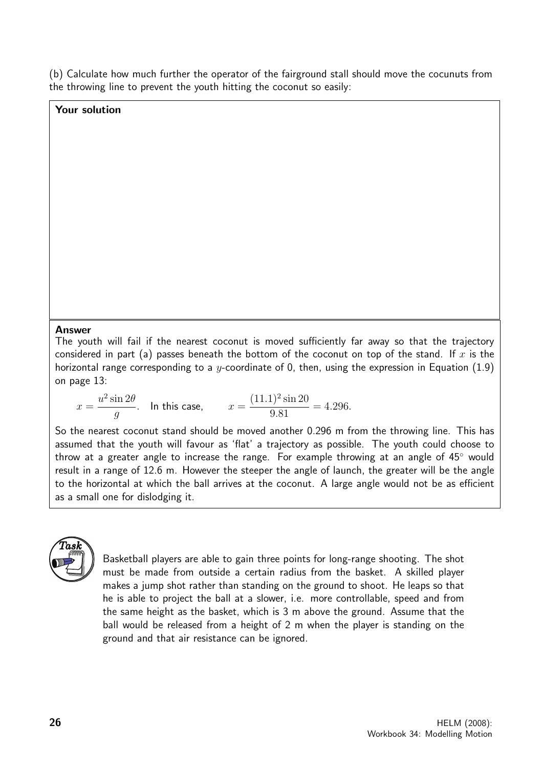(b) Calculate how much further the operator of the fairground stall should move the cocunuts from the throwing line to prevent the youth hitting the coconut so easily:

#### Your solution

#### Answer

The youth will fail if the nearest coconut is moved sufficiently far away so that the trajectory considered in part (a) passes beneath the bottom of the coconut on top of the stand. If  $x$  is the horizontal range corresponding to a y-coordinate of 0, then, using the expression in Equation (1.9) on page 13:

$$
x = \frac{u^2 \sin 2\theta}{g}
$$
. In this case,  $x = \frac{(11.1)^2 \sin 20}{9.81} = 4.296$ .

So the nearest coconut stand should be moved another 0.296 m from the throwing line. This has assumed that the youth will favour as 'flat' a trajectory as possible. The youth could choose to throw at a greater angle to increase the range. For example throwing at an angle of 45◦ would result in a range of 12.6 m. However the steeper the angle of launch, the greater will be the angle to the horizontal at which the ball arrives at the coconut. A large angle would not be as efficient as a small one for dislodging it.



Basketball players are able to gain three points for long-range shooting. The shot must be made from outside a certain radius from the basket. A skilled player makes a jump shot rather than standing on the ground to shoot. He leaps so that he is able to project the ball at a slower, i.e. more controllable, speed and from the same height as the basket, which is 3 m above the ground. Assume that the ball would be released from a height of 2 m when the player is standing on the ground and that air resistance can be ignored.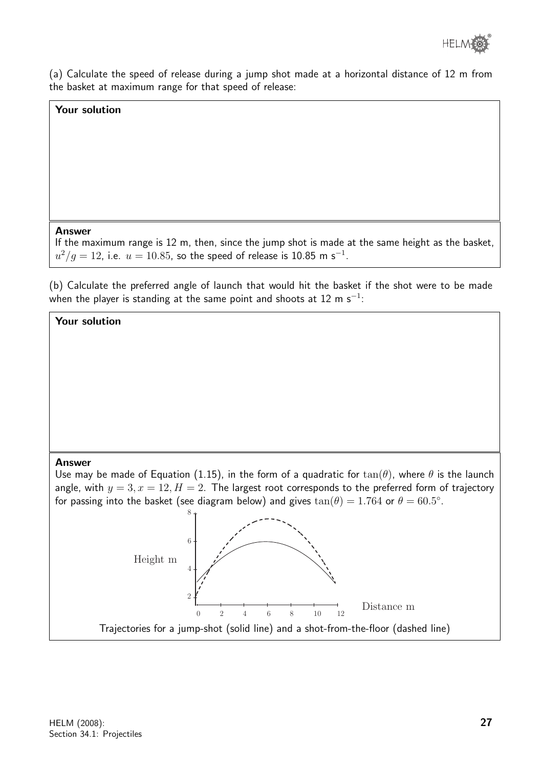

(a) Calculate the speed of release during a jump shot made at a horizontal distance of 12 m from the basket at maximum range for that speed of release:

#### Your solution

#### Answer

If the maximum range is 12 m, then, since the jump shot is made at the same height as the basket,  $u^2/g=12$ , i.e.  $u=10.85$ , so the speed of release is 10.85 m s $^{-1}$ .

(b) Calculate the preferred angle of launch that would hit the basket if the shot were to be made when the player is standing at the same point and shoots at 12 m  $\rm s^{-1}$ :

#### Your solution

#### Answer

Use may be made of Equation (1.15), in the form of a quadratic for  $tan(\theta)$ , where  $\theta$  is the launch angle, with  $y = 3, x = 12, H = 2$ . The largest root corresponds to the preferred form of trajectory for passing into the basket (see diagram below) and gives  $tan(\theta) = 1.764$  or  $\theta = 60.5^{\circ}$ .

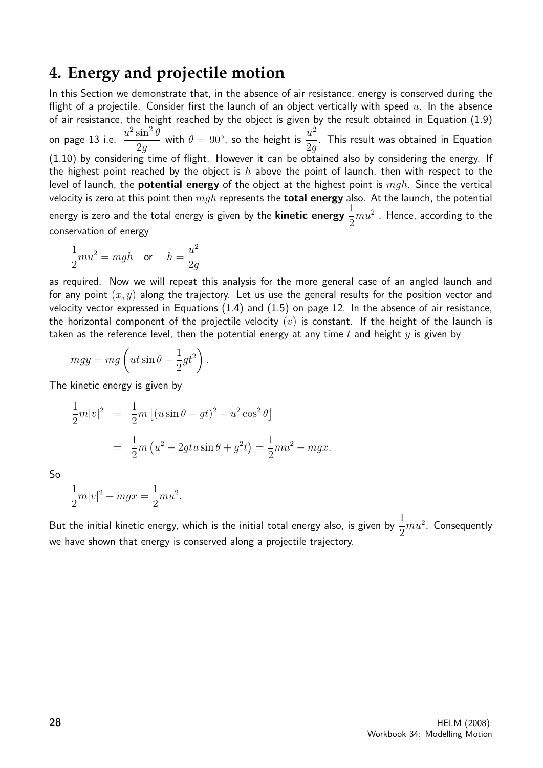## **4. Energy and projectile motion**

In this Section we demonstrate that, in the absence of air resistance, energy is conserved during the flight of a projectile. Consider first the launch of an object vertically with speed  $u$ . In the absence of air resistance, the height reached by the object is given by the result obtained in Equation (1.9) on page 13 i.e.  $\frac{u^2 \sin^2 \theta}{2}$ 2g with  $\theta = 90^{\circ}$ , so the height is  $\frac{u^2}{2}$ 2g . This result was obtained in Equation (1.10) by considering time of flight. However it can be obtained also by considering the energy. If the highest point reached by the object is h above the point of launch, then with respect to the level of launch, the **potential energy** of the object at the highest point is  $mgh$ . Since the vertical velocity is zero at this point then  $mgh$  represents the **total energy** also. At the launch, the potential energy is zero and the total energy is given by the **kinetic energy**  $\frac{1}{2}$ 2  $mu^2$  . Hence, according to the conservation of energy

$$
\frac{1}{2}mu^2 = mgh \quad \text{or} \quad h = \frac{u^2}{2g}
$$

as required. Now we will repeat this analysis for the more general case of an angled launch and for any point  $(x, y)$  along the trajectory. Let us use the general results for the position vector and velocity vector expressed in Equations (1.4) and (1.5) on page 12. In the absence of air resistance, the horizontal component of the projectile velocity  $(v)$  is constant. If the height of the launch is taken as the reference level, then the potential energy at any time t and height  $y$  is given by

$$
mgy = mg\left(ut\sin\theta - \frac{1}{2}gt^2\right).
$$

The kinetic energy is given by

$$
\frac{1}{2}m|v|^2 = \frac{1}{2}m[(u\sin\theta - gt)^2 + u^2\cos^2\theta]
$$
  
=  $\frac{1}{2}m(u^2 - 2gtu\sin\theta + g^2t) = \frac{1}{2}mu^2 - mgx.$ 

So

$$
\frac{1}{2}m|v|^2 + mgx = \frac{1}{2}mu^2.
$$

But the initial kinetic energy, which is the initial total energy also, is given by  $\frac{1}{2}$ 2  $mu<sup>2</sup>$ . Consequently we have shown that energy is conserved along a projectile trajectory.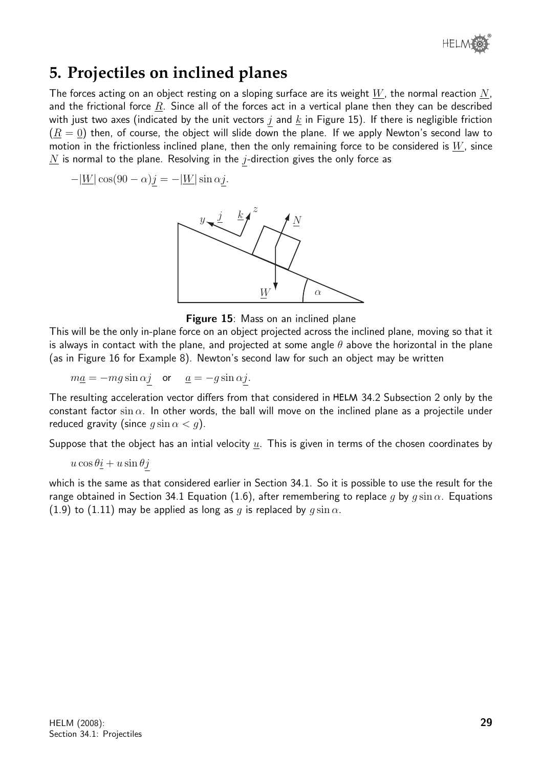

## **5. Projectiles on inclined planes**

The forces acting on an object resting on a sloping surface are its weight  $W$ , the normal reaction  $N$ , and the frictional force  $R$ . Since all of the forces act in a vertical plane then they can be described with just two axes (indicated by the unit vectors  $j$  and  $\underline{k}$  in Figure 15). If there is negligible friction  $(R = 0)$  then, of course, the object will slide down the plane. If we apply Newton's second law to motion in the frictionless inclined plane, then the only remaining force to be considered is  $W$ , since  $N$  is normal to the plane. Resolving in the *j*-direction gives the only force as

 $-|\underline{W}| \cos(90 - \alpha) \underline{j} = -|\underline{W}| \sin \alpha \underline{j}.$ 



Figure 15: Mass on an inclined plane

This will be the only in-plane force on an object projected across the inclined plane, moving so that it is always in contact with the plane, and projected at some angle  $\theta$  above the horizontal in the plane (as in Figure 16 for Example 8). Newton's second law for such an object may be written

 $ma = -mg \sin \alpha j$  or  $\underline{a} = -g \sin \alpha j$ .

The resulting acceleration vector differs from that considered in HELM 34.2 Subsection 2 only by the constant factor sin  $\alpha$ . In other words, the ball will move on the inclined plane as a projectile under reduced gravity (since  $q \sin \alpha < q$ ).

Suppose that the object has an intial velocity  $u$ . This is given in terms of the chosen coordinates by

$$
u\cos\theta\underline{i}+u\sin\theta\underline{j}
$$

which is the same as that considered earlier in Section 34.1. So it is possible to use the result for the range obtained in Section 34.1 Equation (1.6), after remembering to replace q by  $q \sin \alpha$ . Equations (1.9) to (1.11) may be applied as long as q is replaced by  $q \sin \alpha$ .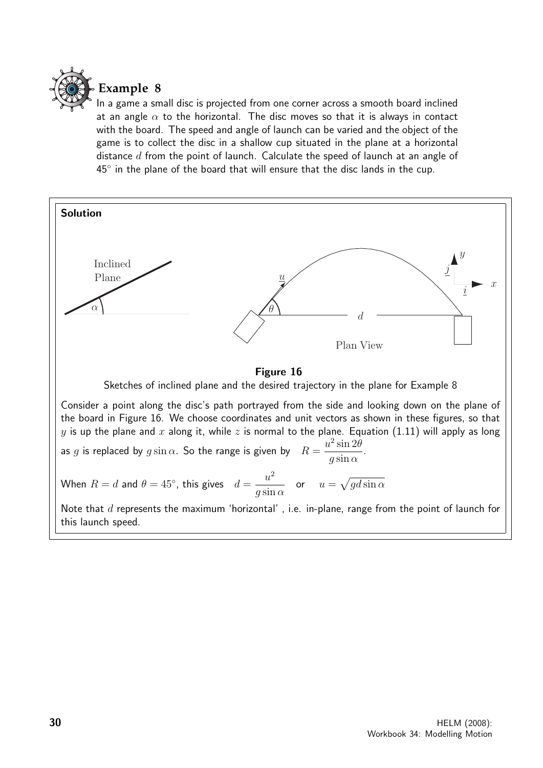

## **Example 8**

In a game a small disc is projected from one corner across a smooth board inclined at an angle  $\alpha$  to the horizontal. The disc moves so that it is always in contact with the board. The speed and angle of launch can be varied and the object of the game is to collect the disc in a shallow cup situated in the plane at a horizontal distance  $d$  from the point of launch. Calculate the speed of launch at an angle of  $45^\circ$  in the plane of the board that will ensure that the disc lands in the cup.

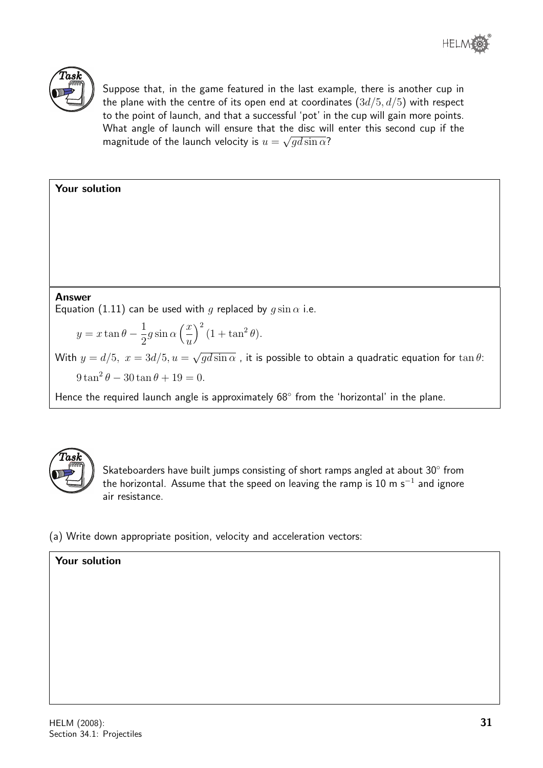



Suppose that, in the game featured in the last example, there is another cup in the plane with the centre of its open end at coordinates  $(3d/5, d/5)$  with respect to the point of launch, and that a successful 'pot' in the cup will gain more points. What angle of launch will ensure that the disc will enter this second cup if the magnitude of the launch velocity is  $u=\sqrt{gd\sin\alpha}$ ?



Hence the required launch angle is approximately 68° from the 'horizontal' in the plane.



Skateboarders have built jumps consisting of short ramps angled at about 30 $^{\circ}$  from the horizontal. Assume that the speed on leaving the ramp is  $10$  m s $^{-1}$  and ignore air resistance.

(a) Write down appropriate position, velocity and acceleration vectors:

## Your solution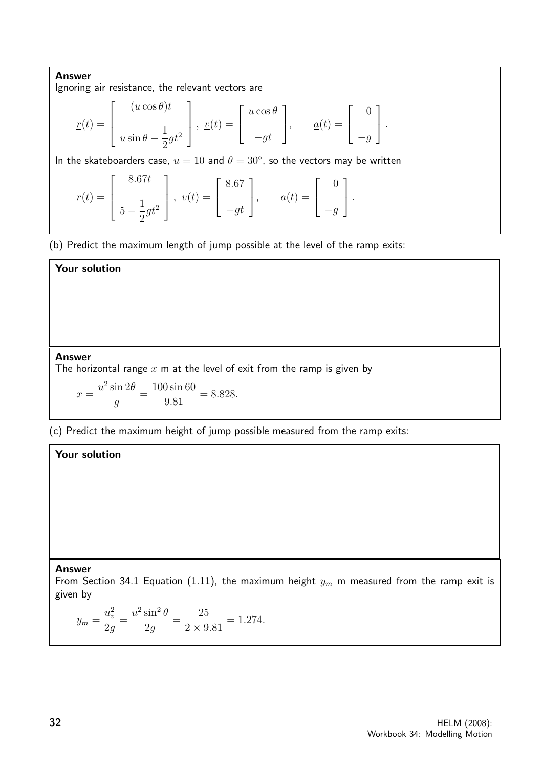Answer Ignoring air resistance, the relevant vectors are

$$
\underline{r}(t) = \begin{bmatrix} (u \cos \theta)t \\ u \sin \theta - \frac{1}{2}gt^2 \end{bmatrix}, \underline{v}(t) = \begin{bmatrix} u \cos \theta \\ -gt \end{bmatrix}, \quad \underline{a}(t) = \begin{bmatrix} 0 \\ -g \end{bmatrix}.
$$

In the skateboarders case,  $u = 10$  and  $\theta = 30^{\circ}$ , so the vectors may be written

$$
\underline{r}(t) = \begin{bmatrix} 8.67t \\ 5 - \frac{1}{2}gt^2 \end{bmatrix}, \ \underline{v}(t) = \begin{bmatrix} 8.67 \\ -gt \end{bmatrix}, \qquad \underline{a}(t) = \begin{bmatrix} 0 \\ -g \end{bmatrix}.
$$

(b) Predict the maximum length of jump possible at the level of the ramp exits:

## Your solution

#### Answer

The horizontal range  $x$  m at the level of exit from the ramp is given by

$$
x = \frac{u^2 \sin 2\theta}{g} = \frac{100 \sin 60}{9.81} = 8.828.
$$

(c) Predict the maximum height of jump possible measured from the ramp exits:

#### Your solution

#### Answer

From Section 34.1 Equation (1.11), the maximum height  $y_m$  m measured from the ramp exit is given by

$$
y_m = \frac{u_v^2}{2g} = \frac{u^2 \sin^2 \theta}{2g} = \frac{25}{2 \times 9.81} = 1.274.
$$